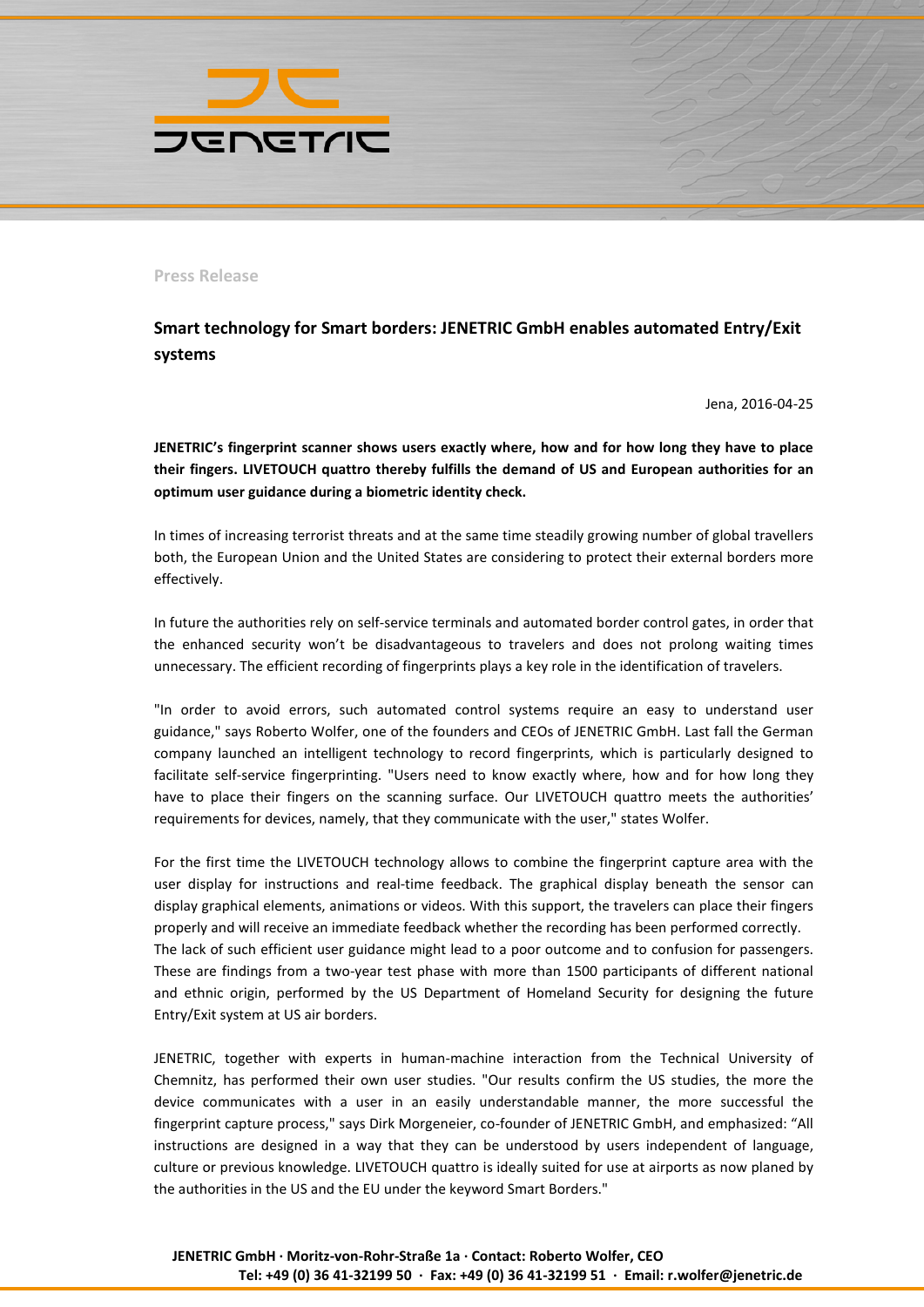

**Press Release**

**Smart technology for Smart borders: JENETRIC GmbH enables automated Entry/Exit systems** 

Jena, 2016-04-25

**JENETRIC's fingerprint scanner shows users exactly where, how and for how long they have to place their fingers. LIVETOUCH quattro thereby fulfills the demand of US and European authorities for an optimum user guidance during a biometric identity check.**

In times of increasing terrorist threats and at the same time steadily growing number of global travellers both, the European Union and the United States are considering to protect their external borders more effectively.

In future the authorities rely on self-service terminals and automated border control gates, in order that the enhanced security won't be disadvantageous to travelers and does not prolong waiting times unnecessary. The efficient recording of fingerprints plays a key role in the identification of travelers.

"In order to avoid errors, such automated control systems require an easy to understand user guidance," says Roberto Wolfer, one of the founders and CEOs of JENETRIC GmbH. Last fall the German company launched an intelligent technology to record fingerprints, which is particularly designed to facilitate self-service fingerprinting. "Users need to know exactly where, how and for how long they have to place their fingers on the scanning surface. Our LIVETOUCH quattro meets the authorities' requirements for devices, namely, that they communicate with the user," states Wolfer.

For the first time the LIVETOUCH technology allows to combine the fingerprint capture area with the user display for instructions and real-time feedback. The graphical display beneath the sensor can display graphical elements, animations or videos. With this support, the travelers can place their fingers properly and will receive an immediate feedback whether the recording has been performed correctly. The lack of such efficient user guidance might lead to a poor outcome and to confusion for passengers. These are findings from a two-year test phase with more than 1500 participants of different national and ethnic origin, performed by the US Department of Homeland Security for designing the future Entry/Exit system at US air borders.

JENETRIC, together with experts in human-machine interaction from the Technical University of Chemnitz, has performed their own user studies. "Our results confirm the US studies, the more the device communicates with a user in an easily understandable manner, the more successful the fingerprint capture process," says Dirk Morgeneier, co-founder of JENETRIC GmbH, and emphasized: "All instructions are designed in a way that they can be understood by users independent of language, culture or previous knowledge. LIVETOUCH quattro is ideally suited for use at airports as now planed by the authorities in the US and the EU under the keyword Smart Borders."